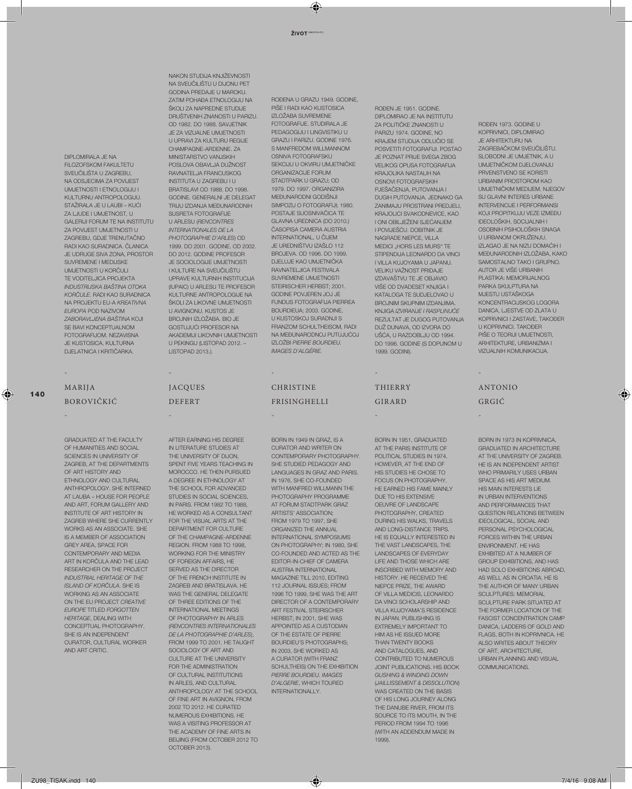DIPLOMIRALA JE NA FILOZOFSKOM FAKULTETU SVEUČILIŠTA U ZAGREBU, NA ODSJECIMA ZA POVIJEST UMJETNOSTI I ETNOLOGIJU I KULTURNU ANTROPOLOGIJU. STAŽIRALA JE U LAUBI – KUĆI ZA LJUDE I UMJETNOST, U GALERIJI FORUM TE NA INSTITUTU ZA POVIJEST UMJETNOSTI U ZAGREBU, GDJE TRENUTAČNO RADI KAO SURADNICA. ČLANICA JE UDRUGE SIVA ZONA, PROSTOR SLIVREMENE I MEDLISKE UMJETNOSTI U KORČULI TE VODITELJICA PROJEKTA *INDUSTRIJSKA BAŠTINA OTOKA KORČULE*. RADI KAO SURADNICA NA PROJEKTU EU-A *KREATIVNA EUROPA* POD NAZIVOM *ZABORAVLJENA BAŠTINA* KOJI SE BAVI KONCEPTUALNOM FOTOGRAFIJOM. NEZAVISNA JE KUSTOSICA, KULTURNA DJELATNICA I KRITIČARKA.

### MARIJA BOROVIČKIĆ

-

-

GRADUATED AT THE FACULTY OF HUMANITIES AND SOCIAL SCIENCES IN UNIVERSITY OF ZAGREB, AT THE DEPARTMENTS OF ART HISTORY AND **ETHNOLOGY AND CULTURAL** ANTHROPOLOGY. SHE INTERNED AT LAUBA – HOUSE FOR PEOPLE AND ART, FORUM GALLERY AND INSTITUTE OF ART HISTORY IN ZAGREB WHERE SHE CURRENTLY WORKS AS AN ASSOCIATE. SHE IS A MEMBER OF ASSOCIATION GREY AREA, SPACE FOR CONTEMPORARY AND MEDIA ART IN KORČULA AND THE LEAD RESEARCHER ON THE PROJECT *INDUSTRIAL HERITAGE OF THE ISLAND OF KORČULA*. SHE IS WORKING AS AN ASSOCIATE ON THE EU PROJECT *CREATIVE EUROPE* TITLED *FORGOTTEN HERITAGE*, DEALING WITH CONCEPTUAL PHOTOGRAPHY. SHE IS AN INDEPENDENT CURATOR, CULTURAL WORKER AND ART CRITIC.

NAKON STUDIJA KNJIŽEVNOSTI NA SVEUČILIŠTU U DIJONU PET GODINA PREDAJE U MAROKU. ZATIM POHAĐA ETNOLOGIJU NA ŠKOLI ZA NAPREDNE STUDIJE DRUŠTVENIH ZNANOSTI U PARIZU. OD 1982. DO 1988. SAVJETNIK JE ZA VIZUALNE UMJETNOSTI U UPRAVI ZA KULTURU REGIJE CHAMPAGNE-ARDENNE. ZA MINISTARSTVO VANJSKIH POSLOVA OBAVLJA DUŽNOST RAVNATELJA FRANCUSKOG INSTITUTA U ZAGREBU I U BRATISLAVI OD 1988. DO 1998. GODINE. GENERALNI JE DELEGAT TRIJU IZDANJA MEĐUNARODNIH SUSRETA FOTOGRAFIJE U ARLESU (*RENCONTRES INTERNATIONALES DE LA PHOTOGRAPHIE D'ARLES*) OD 1999. DO 2001. GODINE. OD 2002. DO 2012. GODINE PROFESOR JE SOCIOLOGIJE UMJETNOSTI I KULTURE NA SVEUČILIŠTU UPRAVE KULTURNIH INSTITUCIJA (IUPAIC) U ARLESU TE PROFESOR KULTURNE ANTROPOLOGIJE NA ŠKOLI ZA LIKOVNE UMJETNOSTI U AVIGNONU. KUSTOS JE BROJNIH IZLOŽABA. BIO JE GOSTUJUĆI PROFESOR NA AKADEMIJI LIKOVNIH UMJETNOSTI U PEKINGU (LISTOPAD 2012. – LISTOPAD 2013.).

-

-

JACQUES DEFERT

OCTOBER 2013).

AFTER EARNING HIS DEGREE IN LITERATURE STUDIES AT THE UNIVERSITY OF DIJON, SPENT FIVE YEARS TEACHING IN MOROCCO. HE THEN PURSUED A DEGREE IN ETHNOLOGY AT THE SCHOOL FOR ADVANCED STUDIES IN SOCIAL SCIENCES. IN PARIS. FROM 1982 TO 1988, HE WORKED AS A CONSULTANT FOR THE VISUAL ARTS AT THE DEPARTMENT FOR CULTURE OF THE CHAMPAGNE-ARDENNE REGION. FROM 1988 TO 1998, WORKING FOR THE MINISTRY OF FOREIGN AFFAIRS, HE SERVED AS THE DIRECTOR OF THE FRENCH INSTITUTE IN ZAGREB AND BRATISLAVA. HE WAS THE GENERAL DELEGATE OF THREE EDITIONS OF THE INTERNATIONAL MEETINGS OF PHOTOGRAPHY IN ARLES (*RENCONTRES INTERNATIONALES DE LA PHOTOGRAPHIE D'ARLES*), FROM 1999 TO 2001. HE TAUGHT SOCIOLOGY OF ART AND CULTURE AT THE UNIVERSITY FOR THE ADMINISTRATION OF CULTURAL INSTITUTIONS IN ARLES, AND CULTURAL ANTHROPOLOGY AT THE SCHOOL OF FINE ART IN AVIGNON, FROM 2002 TO 2012. HE CURATED NUMEROUS EXHIBITIONS. HE WAS A VISITING PROFESSOR AT THE ACADEMY OF FINE ARTS IN BEIJING (FROM OCTOBER 2012 TO ROĐENA U GRAZU 1949. GODINE, PIŠE I RADI KAO KUSTOSICA IZLOŽABA SUVREMENE FOTOGRAFIJE. STUDIRALA JE PEDAGOGIJU I LINGVISTIKU U GRAZU I PARIZU. GODINE 1976. S MANEREDOM WILLMANNOM OSNIVA FOTOGRAFSKU SEKCIJU U OKVIRU UMJETNIČKE ORGANIZACIJE FORUM STADTPARK U GRAZU; OD 1979. DO 1997. ORGANIZIRA MEĐUNARODNI GODIŠNJI SIMPOZIJ O FOTOGRAFIJI; 1980. POSTAJE SUOSNIVAČICA TE GLAVNA UREDNICA (DO 2010.) ČASOPISA CAMERA AUSTRIA INTERNATIONAL, U ČIJEM JE UREDNIŠTVU IZAŠLO 112 BROJEVA. OD 1996. DO 1999. DJELUJE KAO UMJETNIČKA RAVNATELJICA FESTIVALA SUVREMENE UMJETNOSTI STEIRISCHER HERBST; 2001. GODINE POVJEREN JOJ JE FUNDUS FOTOGRAFIJA PIERREA BOURDIEUA; 2003. GODINE, U KUSTOSKOJ SURADNJI S FRANZOM SCHULTHEISOM, RADI NA MEĐUNARODNOJ PUTUJUĆOJ IZLOŽBI *PIERRE BOURDIEU. IMAGES D'ALGÉRIE.*

## CHRISTINE FRISINGHELLI

-

-

### BORN IN 1949 IN GRAZ, IS A CURATOR AND WRITER ON CONTEMPORARY PHOTOGRAPHY. SHE STUDIED PEDAGOGY AND LANGUAGES IN GRAZ AND PARIS. IN 1976, SHE CO-FOUNDED WITH MANFRED WILLMANN THE PHOTOGRAPHY PROGRAMME AT FORUM STADTPARK GRAZ ARTISTS' ASSOCIATION; FROM 1979 TO 1997, SHE ORGANIZED THE ANNUAL INTERNATIONAL SYMPOSIUMS ON PHOTOGRAPHY; IN 1980, SHE CO-FOUNDED AND ACTED AS THE EDITOR-IN-CHIEF OF CAMERA AUSTRIA INTERNATIONAL MAGAZINE TILL 2010, EDITING 112 JOURNAL ISSUES; FROM 1996 TO 1999, SHE WAS THE ART DIRECTOR OF A CONTEMPORARY ART FESTIVAL STEIRISCHER HERBST; IN 2001, SHE WAS APPOINTED AS A CUSTODIAN OF THE ESTATE OF PIERRE BOURDIEU'S PHOTOGRAPHS; IN 2003, SHE WORKED AS A CURATOR (WITH FRANZ SCHULTHEIS) ON THE EXHIBITION *PIERRE BOURDIEU. IMAGES D'ALGERIE*, WHICH TOURED INTERNATIONALLY.

BORN IN 1951, GRADUATED AT THE PARIS INSTITUTE OF POLITICAL STUDIES IN 1974. HOWEVER, AT THE END OF HIS STUDIES HE CHOSE TO FOCUS ON PHOTOGRAPHY. HE FARNED HIS FAME MAINLY DUE TO HIS EXTENSIVE OEUVRE OF LANDSCAPE PHOTOGRAPHY, CREATED DURING HIS WALKS, TRAVELS AND LONG-DISTANCE TRIPS. HE IS FOUALLY INTERESTED IN THE VAST LANDSCAPES, THE LANDSCAPES OF EVERYDAY LIFE AND THOSE WHICH ARE INSCRIBED WITH MEMORY AND HISTORY. HE RECEIVED THE NIEPCE PRIZE, THE AWARD OF VILLA MEDICIS, LEONARDO DA VINCI SCHOLARSHIP AND VILLA KUJOYAMA'S RESIDENCE IN JAPAN. PUBLISHING IS EXTREMELY IMPORTANT TO HIM AS HE ISSUED MORE THAN TWENTY BOOKS AND CATALOGUES, AND CONTRIBUTED TO NUMEROUS JOINT PUBLICATIONS. HIS BOOK *GUSHING & WINDING DOWN* (*JAILLISSEMENT & DISSOLUTION*) WAS CREATED ON THE BASIS OF HIS LONG JOURNEY ALONG THE DANUBE RIVER, FROM ITS SOURCE TO ITS MOUTH, IN THE PERIOD FROM 1994 TO 1996 (WITH AN ADDENDUM MADE IN 1999).

ROĐEN JE 1951. GODINE. DIPLOMIRAO JE NA INSTITUTU ZA POLITIČKE ZNANOSTI U PARIZU 1974. GODINE, NO KRAJEM STUDIJA ODLUČIO SE POSVETITI FOTOGRAFIJI. POSTAO JE POZNAT PRIJE SVEGA ZBOG VELIKOG OPUSA FOTOGRAFIJA KRAJOLIKA NASTALIH NA OSNOVI FOTOGRAFSKIH PJEŠAČENJA, PUTOVANJA I DUGIH PUTOVANJA. JEDNAKO GA ZANIMAJU PROSTRANI PREDJELI, KRAJOLICI SVAKODNEVICE, KAO I ONI OBILJEŽENI SJEĆANJEM I POVIJEŠĆU. DOBITNIK JE NAGRADE NIEPCE, VILLA MEDICI "HORS LES MURS" TE STIPENDIJA LEONARDO DA VINCI I VILLA KUJOYAMA U JAPANU. VELIKU VAŽNOST PRIDAJE IZDAVAŠTVU TE JE OBJAVIO VIŠE OD DVADESET KNJIGA I KATALOGA TE SUDJELOVAO U BROJNIM SKUPNIM IZDANJIMA. KNJIGA *IZVIRANJE I RASPLINUĆE*  REZULTAT JE DUGOG PUTOVANJA DUŽ DUNAVA, OD IZVORA DO UŠĆA, U RAZDOBLJU OD 1994. DO 1996. GODINE (S DOPUNOM U

1999. GODINI).

THIERRY GIRARD

-

-

ROĐEN 1973. GODINE U KOPRIVNICI, DIPLOMIRAO JE ARHITEKTURU NA ZAGREBAČKOM SVEUČILIŠTU. SLOBODNI JE UMJETNIK, A U UMJETNIČKOM DJELOVANJU PRVENSTVENO SE KORISTI URBANIM PROSTOROM KAO UMJETNIČKIM MEDIJEM. NJEGOV SU GLAVNI INTERES URBANE INTERVENCIJE I PERFORMANSI KOJI PROPITKUJU VEZE IZMEĐU IDEOLOŠKIH, SOCIJALNIH I OSOBNIH PSIHOLOŠKIH SNAGA U URBANOM OKRUŽENJU. IZLAGAO JE NA NIZU DOMAĆIH I MEĐUNARODNIH IZLOŽABA, KAKO SAMOSTALNO TAKO I GRUPNO. AUTOR JE VIŠE URBANIH PLASTIKA: MEMORIJALNOG PARKA SKULPTURA NA MJESTU USTAŠKOGA KONCENTRACIJSKOG LOGORA DANICA, LJESTVE OD ZLATA U KOPRIVNICI I ZASTAVE, TAKOĐER U KOPRIVNICI. TAKOĐER PIŠE O TEORIJI UMJETNOSTI, ARHITEKTURE, URBANIZMA I VIZUALNIH KOMUNIKACIJA.

# ANTONIO GRGIĆ

-

-

BORN IN 1973 IN KOPRIVNICA, GRADUATED IN ARCHITECTURE AT THE UNIVERSITY OF ZAGREB. HE IS AN INDEPENDENT ARTIST WHO PRIMARILY USES URBAN SPACE AS HIS ART MEDIUM. HIS MAIN INTERESTS LIE IN URBAN INTERVENTIONS AND PERFORMANCES THAT QUESTION RELATIONS BETWEEN IDEOLOGICAL, SOCIAL AND PERSONAL PSYCHOLOGICAL FORCES WITHIN THE URBAN ENVIRONMENT. HE HAS EXHIBITED AT A NUMBER OF GROUP EXHIBITIONS, AND HAS HAD SOLO EXHIBITIONS ABROAD, AS WELL AS IN CROATIA. HE IS THE AUTHOR OF MANY URBAN SCULPTURES: MEMORIAL SCULPTURE PARK SITUATED AT THE FORMER LOCATION OF THE FASCIST CONCENTRATION CAMP DANICA, LADDERS OF GOLD AND FLAGS, BOTH IN KOPRIVNICA. HE ALSO WRITES ABOUT THEORY OF ART, ARCHITECTURE, URBAN PLANNING AND VISUAL COMMUNICATIONS.

**140**